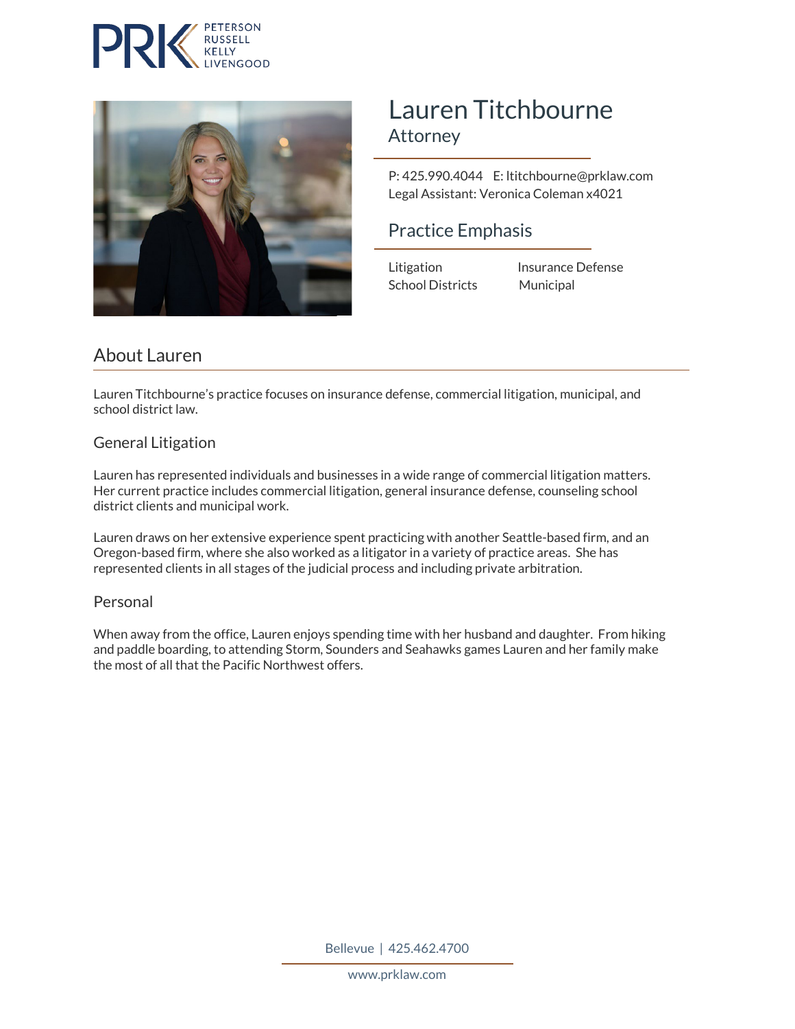



# Lauren Titchbourne<br>Attorney

 P: 425.990.4044 E: ltitchbourne@prklaw.com Legal Assistant: Veronica Coleman x4021

### Practice Emphasis

School Districts Municipal

Litigation Insurance Defense

## About Lauren

Lauren Titchbourne's practice focuses on insurance defense, commercial litigation, municipal, and school district law.

#### General Litigation

Lauren has represented individuals and businesses in a wide range of commercial litigation matters. Her current practice includes commercial litigation, general insurance defense, counseling school district clients and municipal work.

Lauren draws on her extensive experience spent practicing with another Seattle-based firm, and an Oregon-based firm, where she also worked as a litigator in a variety of practice areas. She has represented clients in all stages of the judicial process and including private arbitration.

#### Personal

When away from the office, Lauren enjoys spending time with her husband and daughter. From hiking and paddle boarding, to attending Storm, Sounders and Seahawks games Lauren and her family make the most of all that the Pacific Northwest offers.

Bellevue | 425.462.4700